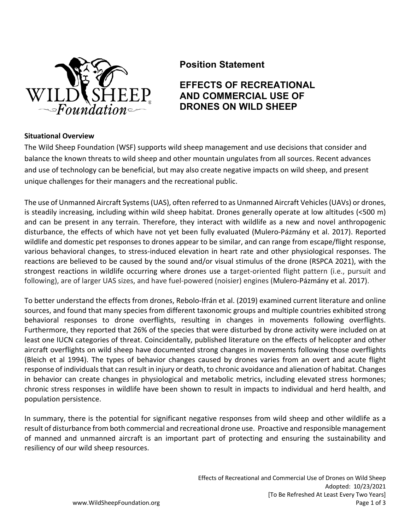

## **Position Statement**

# **EFFECTS OF RECREATIONAL AND COMMERCIAL USE OF DRONES ON WILD SHEEP**

#### **Situational Overview**

The Wild Sheep Foundation (WSF) supports wild sheep management and use decisions that consider and balance the known threats to wild sheep and other mountain ungulates from all sources. Recent advances and use of technology can be beneficial, but may also create negative impacts on wild sheep, and present unique challenges for their managers and the recreational public.

The use of Unmanned Aircraft Systems (UAS), often referred to as Unmanned Aircraft Vehicles (UAVs) or drones, is steadily increasing, including within wild sheep habitat. Drones generally operate at low altitudes (<500 m) and can be present in any terrain. Therefore, they interact with wildlife as a new and novel anthropogenic disturbance, the effects of which have not yet been fully evaluated (Mulero-Pázmány et al. 2017). Reported wildlife and domestic pet responses to drones appear to be similar, and can range from escape/flight response, various behavioral changes, to stress-induced elevation in heart rate and other physiological responses. The reactions are believed to be caused by the sound and/or visual stimulus of the drone (RSPCA 2021), with the strongest reactions in wildlife occurring where drones use a target-oriented flight pattern (i.e., pursuit and following), are of larger UAS sizes, and have fuel-powered (noisier) engines (Mulero-Pázmány et al. 2017).

To better understand the effects from drones, Rebolo-Ifrán et al. (2019) examined current literature and online sources, and found that many species from different taxonomic groups and multiple countries exhibited strong behavioral responses to drone overflights, resulting in changes in movements following overflights. Furthermore, they reported that 26% of the species that were disturbed by drone activity were included on at least one IUCN categories of threat. Coincidentally, published literature on the effects of helicopter and other aircraft overflights on wild sheep have documented strong changes in movements following those overflights (Bleich et al 1994). The types of behavior changes caused by drones varies from an overt and acute flight response of individuals that can result in injury or death, to chronic avoidance and alienation of habitat. Changes in behavior can create changes in physiological and metabolic metrics, including elevated stress hormones; chronic stress responses in wildlife have been shown to result in impacts to individual and herd health, and population persistence.

In summary, there is the potential for significant negative responses from wild sheep and other wildlife as a result of disturbance from both commercial and recreational drone use. Proactive and responsible management of manned and unmanned aircraft is an important part of protecting and ensuring the sustainability and resiliency of our wild sheep resources.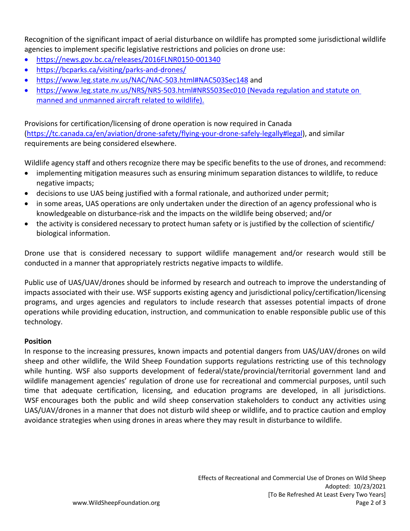Recognition of the significant impact of aerial disturbance on wildlife has prompted some jurisdictional wildlife agencies to implement specific legislative restrictions and policies on drone use:

- https://news.gov.bc.ca/releases/2016FLNR0150-001340
- https://bcparks.ca/visiting/parks-and-drones/
- https://www.leg.state.nv.us/NAC/NAC-503.html#NAC503Sec148 and
- https://www.leg.state.nv.us/NRS/NRS-503.html#NRS503Sec010 (Nevada regulation and statute on manned and unmanned aircraft related to wildlife).

Provisions for certification/licensing of drone operation is now required in Canada (https://tc.canada.ca/en/aviation/drone-safety/flying-your-drone-safely-legally#legal), and similar requirements are being considered elsewhere.

Wildlife agency staff and others recognize there may be specific benefits to the use of drones, and recommend:

- implementing mitigation measures such as ensuring minimum separation distances to wildlife, to reduce negative impacts;
- decisions to use UAS being justified with a formal rationale, and authorized under permit;
- in some areas, UAS operations are only undertaken under the direction of an agency professional who is knowledgeable on disturbance-risk and the impacts on the wildlife being observed; and/or
- the activity is considered necessary to protect human safety or is justified by the collection of scientific/ biological information.

Drone use that is considered necessary to support wildlife management and/or research would still be conducted in a manner that appropriately restricts negative impacts to wildlife.

Public use of UAS/UAV/drones should be informed by research and outreach to improve the understanding of impacts associated with their use. WSF supports existing agency and jurisdictional policy/certification/licensing programs, and urges agencies and regulators to include research that assesses potential impacts of drone operations while providing education, instruction, and communication to enable responsible public use of this technology.

### **Position**

In response to the increasing pressures, known impacts and potential dangers from UAS/UAV/drones on wild sheep and other wildlife, the Wild Sheep Foundation supports regulations restricting use of this technology while hunting. WSF also supports development of federal/state/provincial/territorial government land and wildlife management agencies' regulation of drone use for recreational and commercial purposes, until such time that adequate certification, licensing, and education programs are developed, in all jurisdictions. WSF encourages both the public and wild sheep conservation stakeholders to conduct any activities using UAS/UAV/drones in a manner that does not disturb wild sheep or wildlife, and to practice caution and employ avoidance strategies when using drones in areas where they may result in disturbance to wildlife.